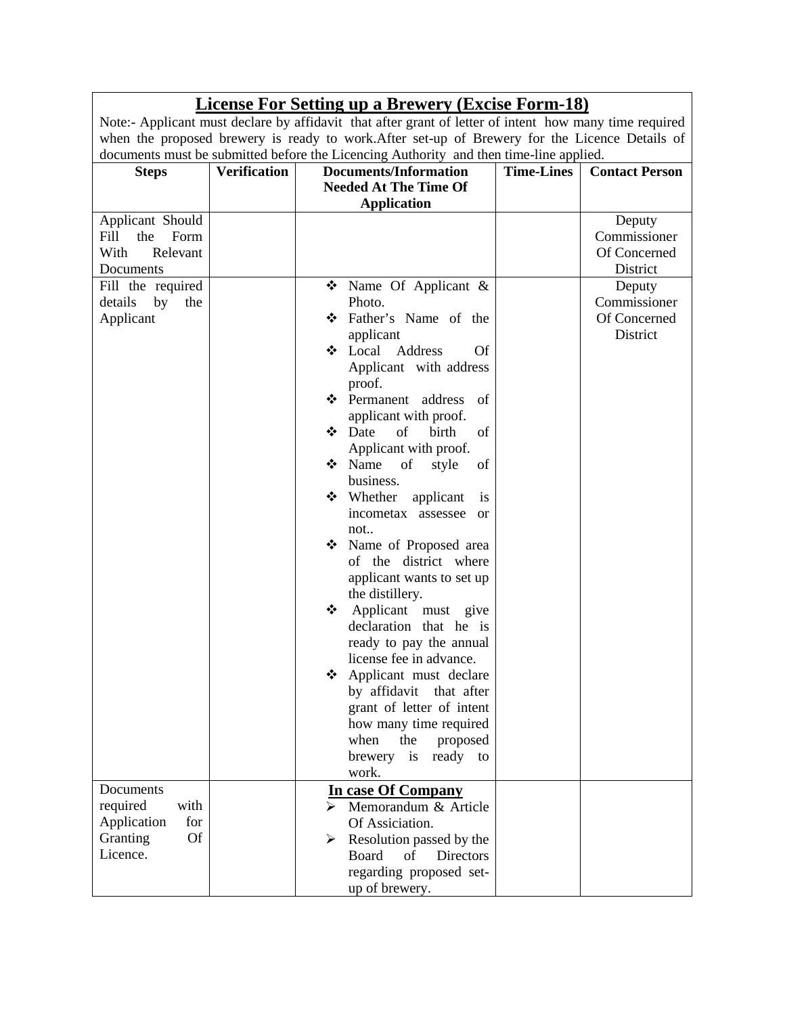|                                                                                                                                    |                     | <b>License For Setting up a Brewery (Excise Form-18)</b>                                                                                                                                                                                                                                                                                                                                                                                                                                                                                                                                                                                                                                                                                                |                   |                                                                                                          |
|------------------------------------------------------------------------------------------------------------------------------------|---------------------|---------------------------------------------------------------------------------------------------------------------------------------------------------------------------------------------------------------------------------------------------------------------------------------------------------------------------------------------------------------------------------------------------------------------------------------------------------------------------------------------------------------------------------------------------------------------------------------------------------------------------------------------------------------------------------------------------------------------------------------------------------|-------------------|----------------------------------------------------------------------------------------------------------|
|                                                                                                                                    |                     | Note:- Applicant must declare by affidavit that after grant of letter of intent how many time required                                                                                                                                                                                                                                                                                                                                                                                                                                                                                                                                                                                                                                                  |                   |                                                                                                          |
|                                                                                                                                    |                     | when the proposed brewery is ready to work. After set-up of Brewery for the Licence Details of<br>documents must be submitted before the Licencing Authority and then time-line applied.                                                                                                                                                                                                                                                                                                                                                                                                                                                                                                                                                                |                   |                                                                                                          |
| <b>Steps</b>                                                                                                                       | <b>Verification</b> | <b>Documents/Information</b>                                                                                                                                                                                                                                                                                                                                                                                                                                                                                                                                                                                                                                                                                                                            | <b>Time-Lines</b> | <b>Contact Person</b>                                                                                    |
|                                                                                                                                    |                     | <b>Needed At The Time Of</b>                                                                                                                                                                                                                                                                                                                                                                                                                                                                                                                                                                                                                                                                                                                            |                   |                                                                                                          |
|                                                                                                                                    |                     |                                                                                                                                                                                                                                                                                                                                                                                                                                                                                                                                                                                                                                                                                                                                                         |                   |                                                                                                          |
| Applicant Should<br>Form<br>Fill<br>the<br>With<br>Relevant<br>Documents<br>Fill the required<br>details<br>by<br>the<br>Applicant |                     | <b>Application</b><br>$\bullet$ Name Of Applicant &<br>Photo.<br>Father's Name of the<br>applicant<br>❖ Local Address<br><b>Of</b><br>Applicant with address<br>proof.<br>❖ Permanent address<br>of<br>applicant with proof.<br>$\div$ Date<br>of<br>birth<br>of<br>Applicant with proof.<br>❖ Name<br>of<br>of<br>style<br>business.<br>❖ Whether<br>applicant<br>is<br>incometax assessee<br><sub>or</sub><br>not<br>• Name of Proposed area<br>of the district where<br>applicant wants to set up<br>the distillery.<br>Applicant must give<br>❖<br>declaration that he is<br>ready to pay the annual<br>license fee in advance.<br>Applicant must declare<br>❖<br>by affidavit<br>that after<br>grant of letter of intent<br>how many time required |                   | Deputy<br>Commissioner<br>Of Concerned<br>District<br>Deputy<br>Commissioner<br>Of Concerned<br>District |
|                                                                                                                                    |                     | when<br>the<br>proposed<br>brewery<br>$\frac{1}{1}$<br>ready to                                                                                                                                                                                                                                                                                                                                                                                                                                                                                                                                                                                                                                                                                         |                   |                                                                                                          |
|                                                                                                                                    |                     | work.                                                                                                                                                                                                                                                                                                                                                                                                                                                                                                                                                                                                                                                                                                                                                   |                   |                                                                                                          |
| Documents<br>required<br>with<br>Application<br>for<br><b>Of</b><br>Granting<br>Licence.                                           |                     | In case Of Company<br>Memorandum & Article<br>Of Assiciation.<br>Resolution passed by the<br>➤<br>Board<br>of<br><b>Directors</b><br>regarding proposed set-<br>up of brewery.                                                                                                                                                                                                                                                                                                                                                                                                                                                                                                                                                                          |                   |                                                                                                          |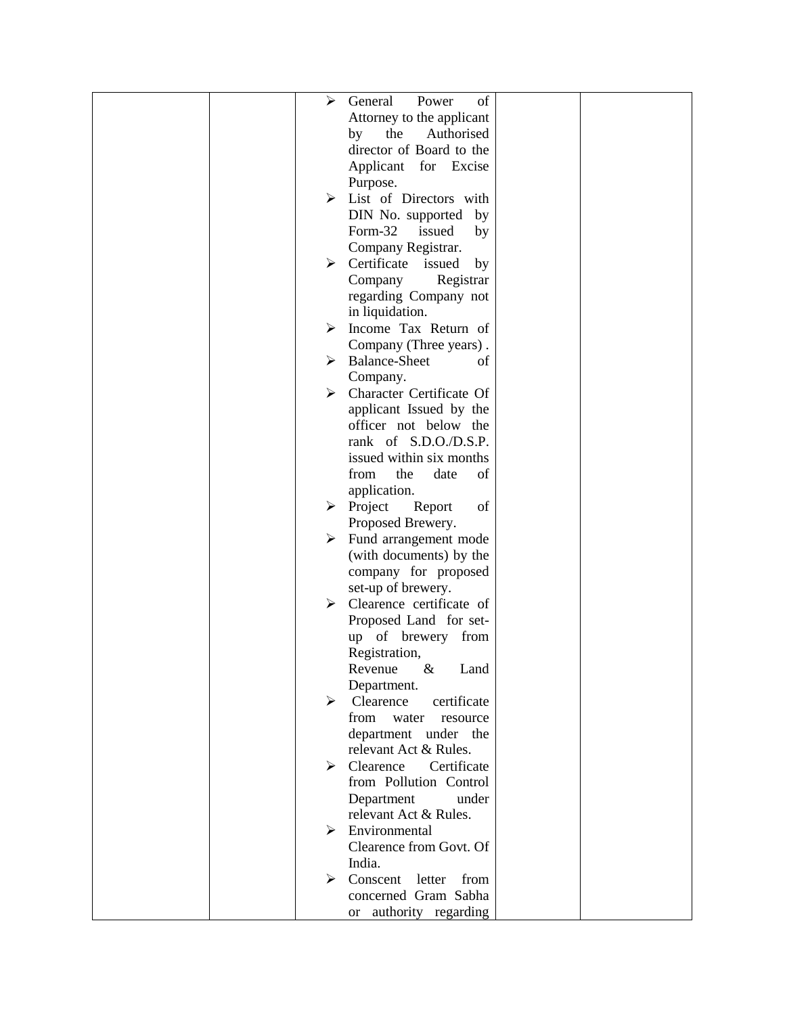|  | ➤ | General<br>of<br>Power                    |  |
|--|---|-------------------------------------------|--|
|  |   | Attorney to the applicant                 |  |
|  |   | the<br>Authorised<br>by                   |  |
|  |   | director of Board to the                  |  |
|  |   | Applicant for Excise                      |  |
|  |   | Purpose.                                  |  |
|  |   | $\triangleright$ List of Directors with   |  |
|  |   | DIN No. supported by                      |  |
|  |   | Form-32<br>issued<br>by                   |  |
|  |   | Company Registrar.                        |  |
|  | ➤ | Certificate issued<br>by                  |  |
|  |   | Company<br>Registrar                      |  |
|  |   | regarding Company not                     |  |
|  |   | in liquidation.                           |  |
|  | ➤ | Income Tax Return of                      |  |
|  |   | Company (Three years).                    |  |
|  | ➤ | <b>Balance-Sheet</b><br>οf                |  |
|  |   | Company.                                  |  |
|  | ≻ | Character Certificate Of                  |  |
|  |   | applicant Issued by the                   |  |
|  |   | officer not below the                     |  |
|  |   | rank of S.D.O./D.S.P.                     |  |
|  |   | issued within six months                  |  |
|  |   | the<br>from<br>date<br>of                 |  |
|  |   | application.                              |  |
|  |   | $\triangleright$ Project<br>of<br>Report  |  |
|  |   | Proposed Brewery.                         |  |
|  | ≻ | Fund arrangement mode                     |  |
|  |   | (with documents) by the                   |  |
|  |   | company for proposed                      |  |
|  |   | set-up of brewery.                        |  |
|  | ≻ | Clearence certificate of                  |  |
|  |   | Proposed Land for set-                    |  |
|  |   | up of brewery from                        |  |
|  |   | Registration,                             |  |
|  |   | $\&$<br>Land<br>Revenue                   |  |
|  | ⋗ | Department.<br>certificate<br>Clearence   |  |
|  |   | from<br>water<br>resource                 |  |
|  |   | department under the                      |  |
|  |   | relevant Act & Rules.                     |  |
|  |   | $\triangleright$ Clearence<br>Certificate |  |
|  |   | from Pollution Control                    |  |
|  |   | Department<br>under                       |  |
|  |   | relevant Act & Rules.                     |  |
|  | ⋗ | Environmental                             |  |
|  |   | Clearence from Govt. Of                   |  |
|  |   | India.                                    |  |
|  | ➤ | Conscent<br>from<br>letter                |  |
|  |   | concerned Gram Sabha                      |  |
|  |   | or authority regarding                    |  |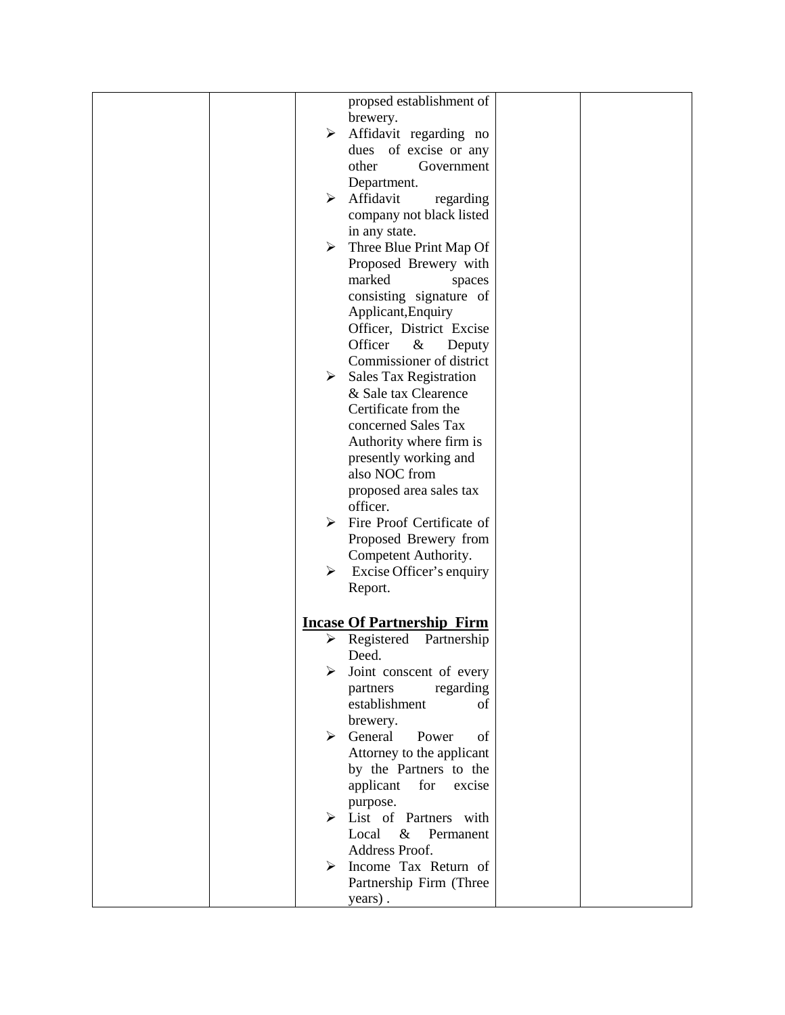|  |   | propsed establishment of                 |  |
|--|---|------------------------------------------|--|
|  |   | brewery.                                 |  |
|  | ≻ | Affidavit regarding no                   |  |
|  |   | dues of excise or any                    |  |
|  |   | other<br>Government                      |  |
|  |   | Department.                              |  |
|  |   | $\triangleright$ Affidavit<br>regarding  |  |
|  |   | company not black listed                 |  |
|  |   | in any state.                            |  |
|  |   | $\triangleright$ Three Blue Print Map Of |  |
|  |   | Proposed Brewery with                    |  |
|  |   | marked                                   |  |
|  |   | spaces                                   |  |
|  |   | consisting signature of                  |  |
|  |   | Applicant, Enquiry                       |  |
|  |   | Officer, District Excise                 |  |
|  |   | Officer<br>$\&$<br>Deputy                |  |
|  |   | Commissioner of district                 |  |
|  | ≻ | Sales Tax Registration                   |  |
|  |   | & Sale tax Clearence                     |  |
|  |   | Certificate from the                     |  |
|  |   | concerned Sales Tax                      |  |
|  |   | Authority where firm is                  |  |
|  |   | presently working and                    |  |
|  |   | also NOC from                            |  |
|  |   | proposed area sales tax                  |  |
|  |   | officer.                                 |  |
|  | ≻ | Fire Proof Certificate of                |  |
|  |   | Proposed Brewery from                    |  |
|  |   | Competent Authority.                     |  |
|  | ➤ | Excise Officer's enquiry                 |  |
|  |   | Report.                                  |  |
|  |   |                                          |  |
|  |   |                                          |  |
|  |   | <b>Incase Of Partnership Firm</b>        |  |
|  | ➤ | Registered<br>Partnership                |  |
|  |   | Deed.                                    |  |
|  |   | Joint conscent of every                  |  |
|  |   | partners<br>regarding                    |  |
|  |   | establishment<br>of                      |  |
|  |   | brewery.                                 |  |
|  | ➤ | General<br>Power<br>of                   |  |
|  |   | Attorney to the applicant                |  |
|  |   | by the Partners to the                   |  |
|  |   | applicant<br>for<br>excise               |  |
|  |   | purpose.                                 |  |
|  |   | $\triangleright$ List of Partners with   |  |
|  |   | & Permanent<br>Local                     |  |
|  |   | Address Proof.                           |  |
|  |   | Income Tax Return of                     |  |
|  |   | Partnership Firm (Three                  |  |
|  |   | years).                                  |  |
|  |   |                                          |  |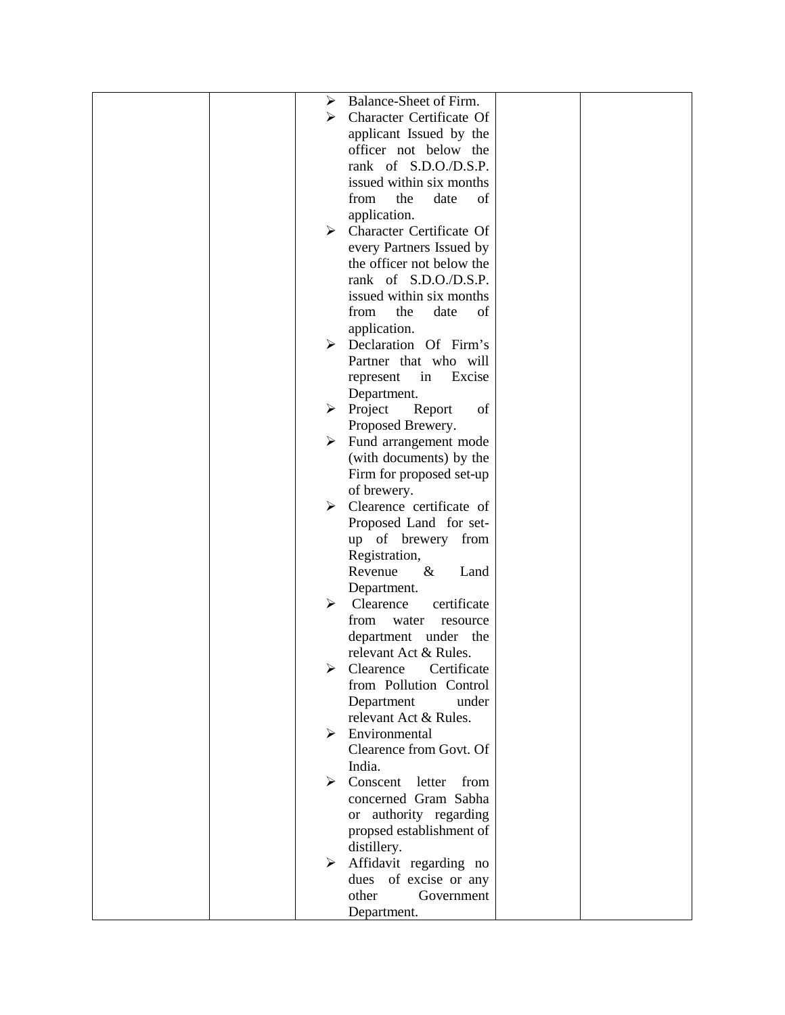|  | ➤ | Balance-Sheet of Firm.                          |  |
|--|---|-------------------------------------------------|--|
|  | ⋗ | Character Certificate Of                        |  |
|  |   | applicant Issued by the                         |  |
|  |   | officer not below the                           |  |
|  |   | rank of S.D.O./D.S.P.                           |  |
|  |   | issued within six months                        |  |
|  |   | from<br>the<br>date<br>of                       |  |
|  |   | application.                                    |  |
|  | ≻ | Character Certificate Of                        |  |
|  |   | every Partners Issued by                        |  |
|  |   | the officer not below the                       |  |
|  |   | rank of S.D.O./D.S.P.                           |  |
|  |   | issued within six months                        |  |
|  |   | the<br>from<br>date<br>of                       |  |
|  |   | application.                                    |  |
|  | ≻ | Declaration Of Firm's                           |  |
|  |   | Partner that who will                           |  |
|  |   | Excise<br>represent<br>in                       |  |
|  |   | Department.                                     |  |
|  | ≻ | Project<br>Report<br>of                         |  |
|  |   | Proposed Brewery.                               |  |
|  | ➤ | Fund arrangement mode                           |  |
|  |   | (with documents) by the                         |  |
|  |   | Firm for proposed set-up                        |  |
|  |   | of brewery.                                     |  |
|  | ➤ | Clearence certificate of                        |  |
|  |   | Proposed Land for set-                          |  |
|  |   | up of brewery<br>from                           |  |
|  |   | Registration,                                   |  |
|  |   | Revenue<br>$\&$<br>Land                         |  |
|  |   | Department.                                     |  |
|  | ≻ | Clearence<br>certificate                        |  |
|  |   | from<br>water<br>resource                       |  |
|  |   | department under the                            |  |
|  |   | relevant Act & Rules.                           |  |
|  |   | Clearence Certificate                           |  |
|  |   | from Pollution Control                          |  |
|  |   | Department<br>under                             |  |
|  |   | relevant Act & Rules.                           |  |
|  | ≻ | Environmental                                   |  |
|  |   | Clearence from Govt. Of                         |  |
|  |   | India.                                          |  |
|  |   | $\triangleright$ Conscent letter<br>from        |  |
|  |   | concerned Gram Sabha                            |  |
|  |   | or authority regarding                          |  |
|  |   | propsed establishment of                        |  |
|  | ➤ | distillery.                                     |  |
|  |   | Affidavit regarding no<br>dues of excise or any |  |
|  |   | other<br>Government                             |  |
|  |   | Department.                                     |  |
|  |   |                                                 |  |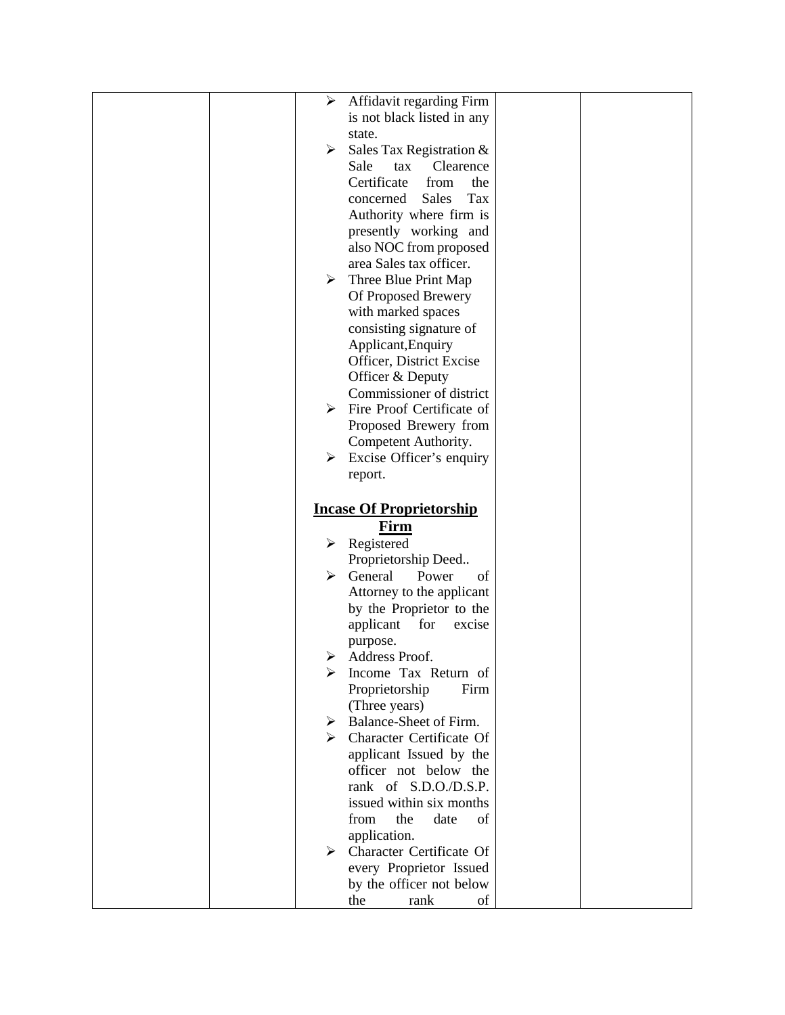| Affidavit regarding Firm<br>➤                 |  |
|-----------------------------------------------|--|
| is not black listed in any                    |  |
| state.                                        |  |
| ➤                                             |  |
| Sales Tax Registration &                      |  |
| Sale<br>Clearence<br>tax                      |  |
| Certificate<br>from<br>the                    |  |
| <b>Sales</b><br>Tax<br>concerned              |  |
| Authority where firm is                       |  |
| presently working and                         |  |
| also NOC from proposed                        |  |
| area Sales tax officer.                       |  |
| Three Blue Print Map<br>≻                     |  |
| Of Proposed Brewery                           |  |
| with marked spaces                            |  |
| consisting signature of                       |  |
| Applicant, Enquiry                            |  |
| Officer, District Excise                      |  |
| Officer & Deputy                              |  |
| Commissioner of district                      |  |
| Fire Proof Certificate of<br>≻                |  |
|                                               |  |
| Proposed Brewery from                         |  |
| Competent Authority.                          |  |
| $\triangleright$ Excise Officer's enquiry     |  |
| report.                                       |  |
|                                               |  |
| <b>Incase Of Proprietorship</b>               |  |
| Firm                                          |  |
| $\triangleright$ Registered                   |  |
| Proprietorship Deed                           |  |
| General<br>➤<br>Power<br>of                   |  |
| Attorney to the applicant                     |  |
| by the Proprietor to the                      |  |
| applicant<br>for<br>excise                    |  |
|                                               |  |
|                                               |  |
| purpose.<br>➤                                 |  |
| Address Proof.                                |  |
| Income Tax Return of                          |  |
| Proprietorship<br>Firm                        |  |
| (Three years)                                 |  |
| $\triangleright$ Balance-Sheet of Firm.       |  |
| Character Certificate Of                      |  |
| applicant Issued by the                       |  |
| officer not below the                         |  |
| rank of S.D.O./D.S.P.                         |  |
| issued within six months                      |  |
| date<br>from<br>the<br>of                     |  |
| application.                                  |  |
| $\triangleright$ Character Certificate Of     |  |
| every Proprietor Issued                       |  |
| by the officer not below<br>of<br>rank<br>the |  |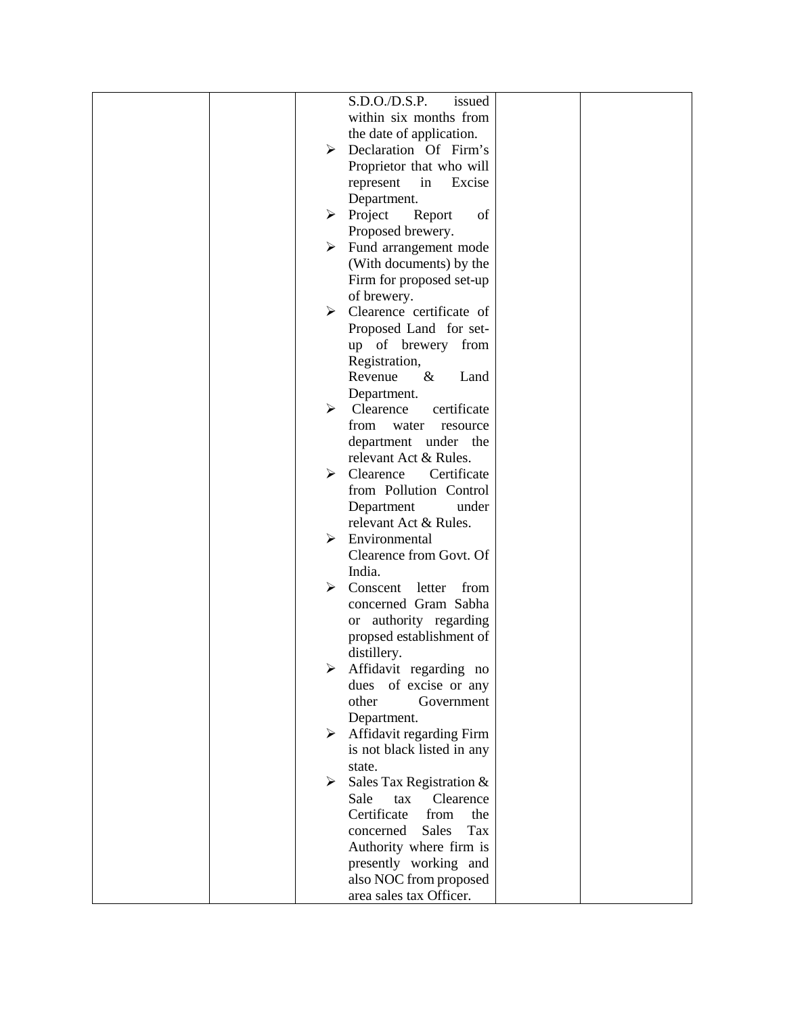| S.D.O.D.S.P.<br>issued                    |  |
|-------------------------------------------|--|
| within six months from                    |  |
| the date of application.                  |  |
| > Declaration Of Firm's                   |  |
| Proprietor that who will                  |  |
| Excise<br>represent<br>in                 |  |
| Department.                               |  |
| $\triangleright$ Project<br>of<br>Report  |  |
| Proposed brewery.                         |  |
| Fund arrangement mode<br>≻                |  |
| (With documents) by the                   |  |
| Firm for proposed set-up                  |  |
| of brewery.                               |  |
| $\triangleright$ Clearence certificate of |  |
| Proposed Land for set-                    |  |
| up of brewery from                        |  |
| Registration,                             |  |
| Revenue<br>$\&$<br>Land                   |  |
| Department.                               |  |
| Clearence<br>certificate<br>➤             |  |
| from<br>water<br>resource                 |  |
| department under the                      |  |
| relevant Act & Rules.                     |  |
| $\triangleright$ Clearence<br>Certificate |  |
| from Pollution Control                    |  |
| Department<br>under                       |  |
| relevant Act & Rules.                     |  |
| Environmental<br>➤                        |  |
| Clearence from Govt. Of                   |  |
| India.                                    |  |
| Conscent<br>➤<br>letter<br>from           |  |
| concerned Gram Sabha                      |  |
| or authority regarding                    |  |
| propsed establishment of                  |  |
| distillery.                               |  |
| Affidavit regarding no                    |  |
| of excise or any<br>dues                  |  |
| other<br>Government                       |  |
| Department.                               |  |
| Affidavit regarding Firm<br>≻             |  |
| is not black listed in any                |  |
| state.                                    |  |
| Sales Tax Registration &<br>➤             |  |
| Sale<br>Clearence<br>tax                  |  |
| Certificate<br>from<br>the                |  |
| Tax<br><b>Sales</b><br>concerned          |  |
| Authority where firm is                   |  |
| presently working and                     |  |
| also NOC from proposed                    |  |
| area sales tax Officer.                   |  |